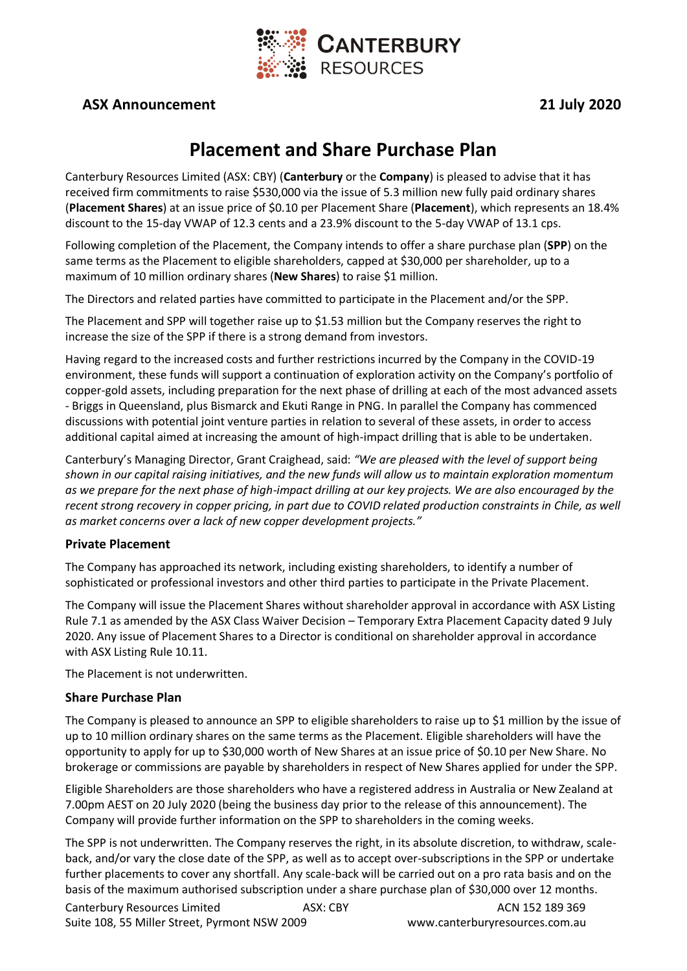

## **ASX Announcement 21 July 2020**

# **Placement and Share Purchase Plan**

Canterbury Resources Limited (ASX: CBY) (**Canterbury** or the **Company**) is pleased to advise that it has received firm commitments to raise \$530,000 via the issue of 5.3 million new fully paid ordinary shares (**Placement Shares**) at an issue price of \$0.10 per Placement Share (**Placement**), which represents an 18.4% discount to the 15-day VWAP of 12.3 cents and a 23.9% discount to the 5-day VWAP of 13.1 cps.

Following completion of the Placement, the Company intends to offer a share purchase plan (**SPP**) on the same terms as the Placement to eligible shareholders, capped at \$30,000 per shareholder, up to a maximum of 10 million ordinary shares (**New Shares**) to raise \$1 million.

The Directors and related parties have committed to participate in the Placement and/or the SPP.

The Placement and SPP will together raise up to \$1.53 million but the Company reserves the right to increase the size of the SPP if there is a strong demand from investors.

Having regard to the increased costs and further restrictions incurred by the Company in the COVID-19 environment, these funds will support a continuation of exploration activity on the Company's portfolio of copper-gold assets, including preparation for the next phase of drilling at each of the most advanced assets - Briggs in Queensland, plus Bismarck and Ekuti Range in PNG. In parallel the Company has commenced discussions with potential joint venture parties in relation to several of these assets, in order to access additional capital aimed at increasing the amount of high-impact drilling that is able to be undertaken.

Canterbury's Managing Director, Grant Craighead, said: *"We are pleased with the level of support being shown in our capital raising initiatives, and the new funds will allow us to maintain exploration momentum as we prepare for the next phase of high-impact drilling at our key projects. We are also encouraged by the recent strong recovery in copper pricing, in part due to COVID related production constraints in Chile, as well as market concerns over a lack of new copper development projects."*

#### **Private Placement**

The Company has approached its network, including existing shareholders, to identify a number of sophisticated or professional investors and other third parties to participate in the Private Placement.

The Company will issue the Placement Shares without shareholder approval in accordance with ASX Listing Rule 7.1 as amended by the ASX Class Waiver Decision – Temporary Extra Placement Capacity dated 9 July 2020. Any issue of Placement Shares to a Director is conditional on shareholder approval in accordance with ASX Listing Rule 10.11.

The Placement is not underwritten.

#### **Share Purchase Plan**

The Company is pleased to announce an SPP to eligible shareholders to raise up to \$1 million by the issue of up to 10 million ordinary shares on the same terms as the Placement. Eligible shareholders will have the opportunity to apply for up to \$30,000 worth of New Shares at an issue price of \$0.10 per New Share. No brokerage or commissions are payable by shareholders in respect of New Shares applied for under the SPP.

Eligible Shareholders are those shareholders who have a registered address in Australia or New Zealand at 7.00pm AEST on 20 July 2020 (being the business day prior to the release of this announcement). The Company will provide further information on the SPP to shareholders in the coming weeks.

The SPP is not underwritten. The Company reserves the right, in its absolute discretion, to withdraw, scaleback, and/or vary the close date of the SPP, as well as to accept over-subscriptions in the SPP or undertake further placements to cover any shortfall. Any scale-back will be carried out on a pro rata basis and on the basis of the maximum authorised subscription under a share purchase plan of \$30,000 over 12 months.